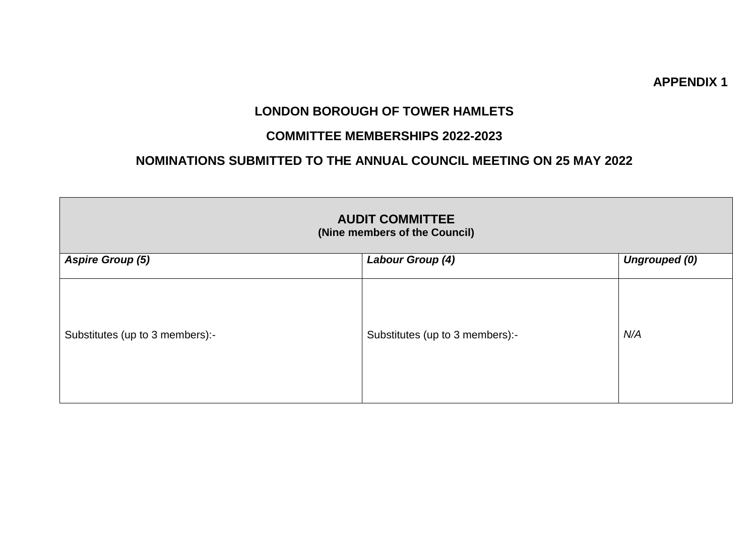#### **APPENDIX 1**

## **LONDON BOROUGH OF TOWER HAMLETS**

### **COMMITTEE MEMBERSHIPS 2022-2023**

## **NOMINATIONS SUBMITTED TO THE ANNUAL COUNCIL MEETING ON 25 MAY 2022**

| <b>AUDIT COMMITTEE</b><br>(Nine members of the Council) |                                          |     |  |  |
|---------------------------------------------------------|------------------------------------------|-----|--|--|
| <b>Aspire Group (5)</b>                                 | Labour Group (4)<br><b>Ungrouped (0)</b> |     |  |  |
| Substitutes (up to 3 members):-                         | Substitutes (up to 3 members):-          | N/A |  |  |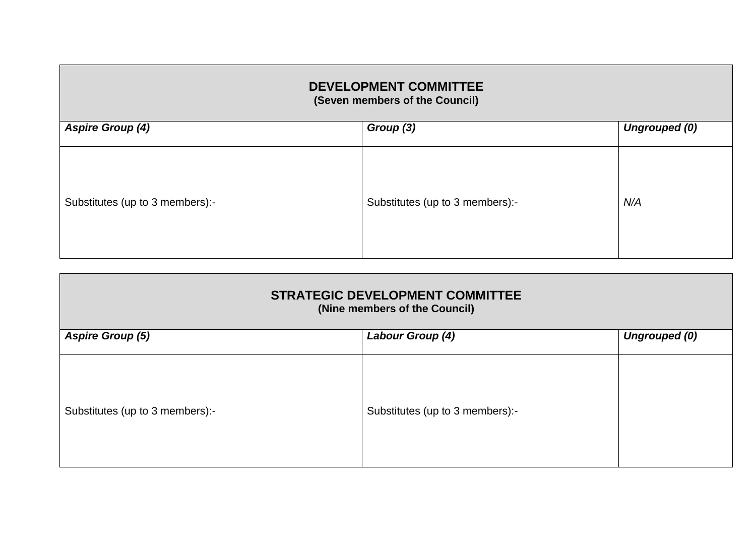| <b>DEVELOPMENT COMMITTEE</b><br>(Seven members of the Council) |                                 |     |  |
|----------------------------------------------------------------|---------------------------------|-----|--|
| <b>Aspire Group (4)</b><br>Group (3)<br><b>Ungrouped (0)</b>   |                                 |     |  |
| Substitutes (up to 3 members):-                                | Substitutes (up to 3 members):- | N/A |  |

| <b>STRATEGIC DEVELOPMENT COMMITTEE</b><br>(Nine members of the Council) |                                 |                      |  |
|-------------------------------------------------------------------------|---------------------------------|----------------------|--|
| <b>Aspire Group (5)</b>                                                 | Labour Group (4)                | <b>Ungrouped (0)</b> |  |
| Substitutes (up to 3 members):-                                         | Substitutes (up to 3 members):- |                      |  |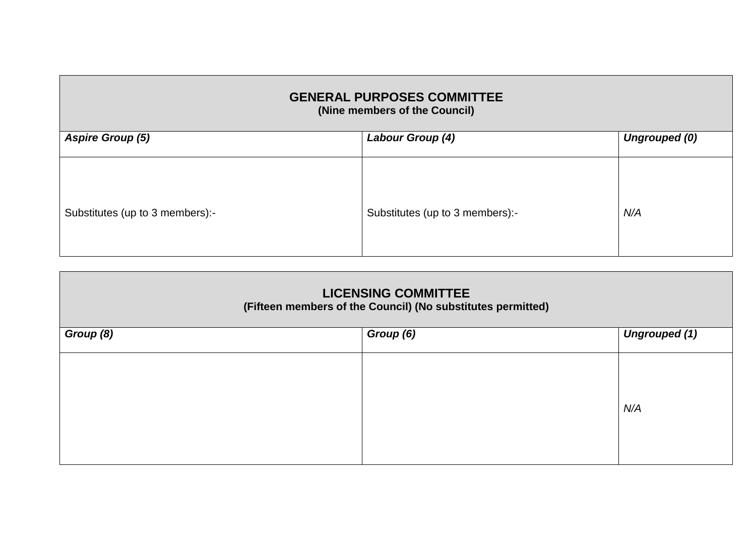| <b>GENERAL PURPOSES COMMITTEE</b><br>(Nine members of the Council)  |                                 |     |  |
|---------------------------------------------------------------------|---------------------------------|-----|--|
| <b>Aspire Group (5)</b><br>Labour Group (4)<br><b>Ungrouped (0)</b> |                                 |     |  |
| Substitutes (up to 3 members):-                                     | Substitutes (up to 3 members):- | N/A |  |

| <b>LICENSING COMMITTEE</b><br>(Fifteen members of the Council) (No substitutes permitted) |           |                      |  |
|-------------------------------------------------------------------------------------------|-----------|----------------------|--|
| Group (8)                                                                                 | Group (6) | <b>Ungrouped (1)</b> |  |
|                                                                                           |           | N/A                  |  |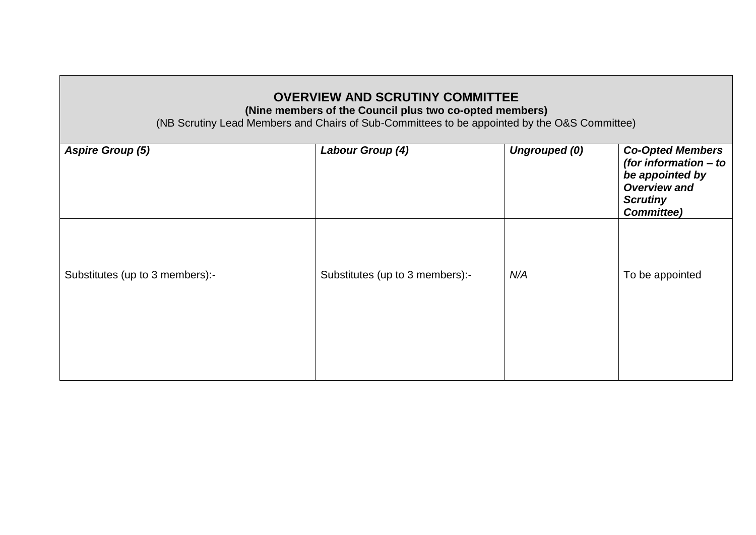# **OVERVIEW AND SCRUTINY COMMITTEE**

**(Nine members of the Council plus two co-opted members)**

(NB Scrutiny Lead Members and Chairs of Sub-Committees to be appointed by the O&S Committee)

| Labour Group (4)                | <b>Ungrouped (0)</b> | <b>Co-Opted Members</b><br>(for information - to<br>be appointed by<br><b>Overview and</b><br><b>Scrutiny</b><br><b>Committee)</b> |
|---------------------------------|----------------------|------------------------------------------------------------------------------------------------------------------------------------|
| Substitutes (up to 3 members):- | N/A                  | To be appointed                                                                                                                    |
|                                 |                      |                                                                                                                                    |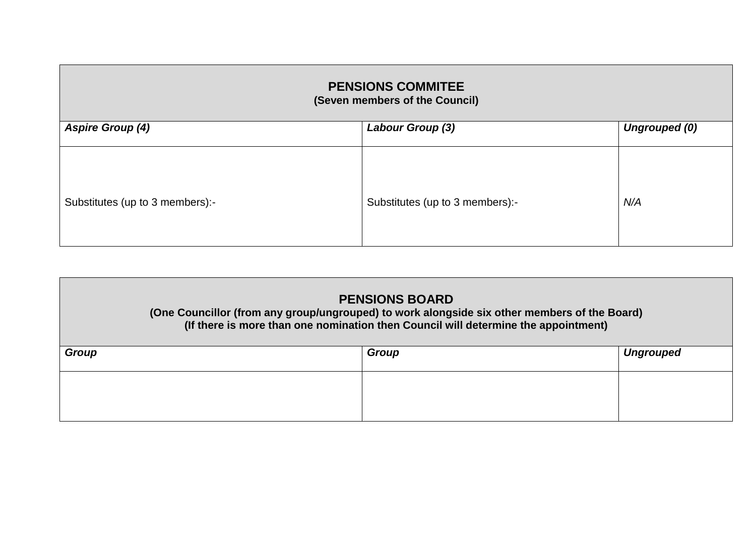| <b>PENSIONS COMMITEE</b><br>(Seven members of the Council)          |                                 |     |  |
|---------------------------------------------------------------------|---------------------------------|-----|--|
| Labour Group (3)<br><b>Aspire Group (4)</b><br><b>Ungrouped (0)</b> |                                 |     |  |
| Substitutes (up to 3 members):-                                     | Substitutes (up to 3 members):- | N/A |  |

| <b>PENSIONS BOARD</b><br>(One Councillor (from any group/ungrouped) to work alongside six other members of the Board)<br>(If there is more than one nomination then Council will determine the appointment) |       |                  |
|-------------------------------------------------------------------------------------------------------------------------------------------------------------------------------------------------------------|-------|------------------|
| <b>Group</b>                                                                                                                                                                                                | Group | <b>Ungrouped</b> |
|                                                                                                                                                                                                             |       |                  |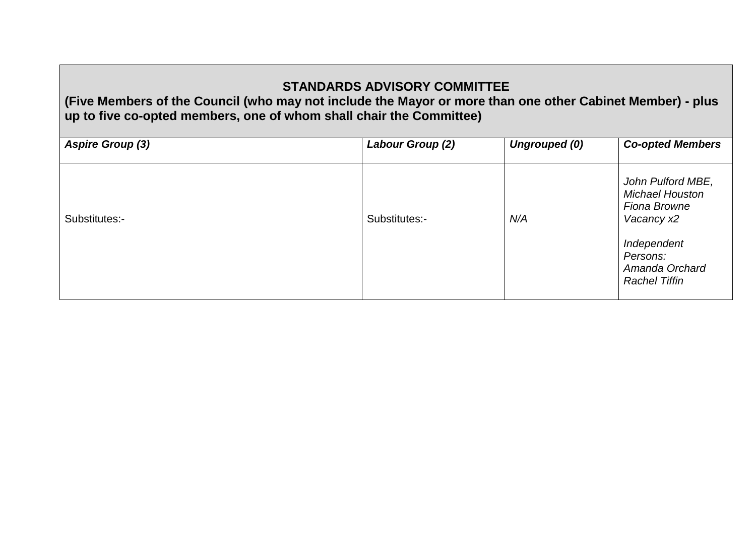# **STANDARDS ADVISORY COMMITTEE**

**(Five Members of the Council (who may not include the Mayor or more than one other Cabinet Member) - plus up to five co-opted members, one of whom shall chair the Committee)**

| <b>Aspire Group (3)</b> | Labour Group (2) | Ungrouped (0) | <b>Co-opted Members</b>                                                                                                                        |
|-------------------------|------------------|---------------|------------------------------------------------------------------------------------------------------------------------------------------------|
| Substitutes:-           | Substitutes:-    | N/A           | John Pulford MBE,<br><b>Michael Houston</b><br>Fiona Browne<br>Vacancy x2<br>Independent<br>Persons:<br>Amanda Orchard<br><b>Rachel Tiffin</b> |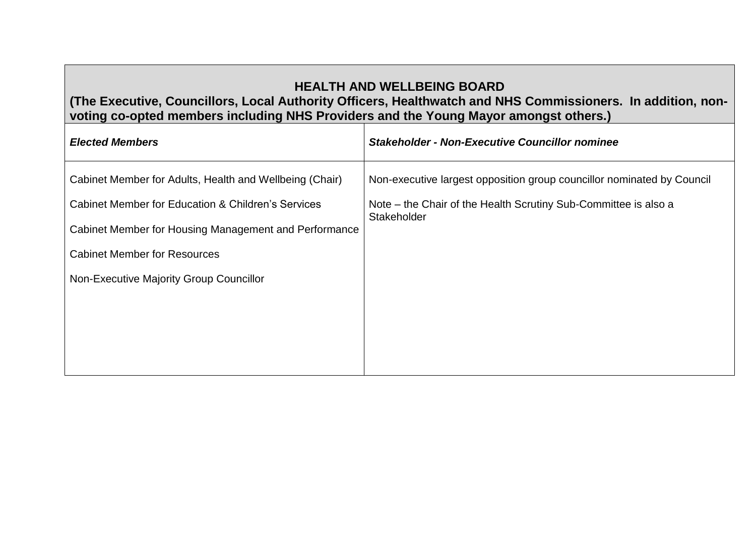# **HEALTH AND WELLBEING BOARD**

### **(The Executive, Councillors, Local Authority Officers, Healthwatch and NHS Commissioners. In addition, nonvoting co-opted members including NHS Providers and the Young Mayor amongst others.)**

| <b>Elected Members</b>                                  | <b>Stakeholder - Non-Executive Councillor nominee</b>                          |
|---------------------------------------------------------|--------------------------------------------------------------------------------|
| Cabinet Member for Adults, Health and Wellbeing (Chair) | Non-executive largest opposition group councillor nominated by Council         |
| Cabinet Member for Education & Children's Services      | Note - the Chair of the Health Scrutiny Sub-Committee is also a<br>Stakeholder |
| Cabinet Member for Housing Management and Performance   |                                                                                |
| <b>Cabinet Member for Resources</b>                     |                                                                                |
| Non-Executive Majority Group Councillor                 |                                                                                |
|                                                         |                                                                                |
|                                                         |                                                                                |
|                                                         |                                                                                |
|                                                         |                                                                                |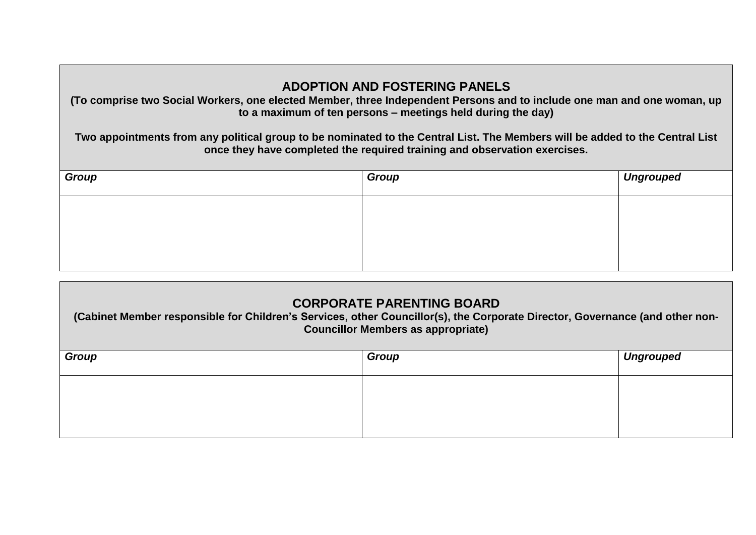## **ADOPTION AND FOSTERING PANELS**

**(To comprise two Social Workers, one elected Member, three Independent Persons and to include one man and one woman, up to a maximum of ten persons – meetings held during the day)**

**Two appointments from any political group to be nominated to the Central List. The Members will be added to the Central List once they have completed the required training and observation exercises.**

| Group | Group | Ungrouped |
|-------|-------|-----------|
|       |       |           |
|       |       |           |
|       |       |           |

| <b>CORPORATE PARENTING BOARD</b><br>(Cabinet Member responsible for Children's Services, other Councillor(s), the Corporate Director, Governance (and other non-<br><b>Councillor Members as appropriate)</b> |  |  |  |  |
|---------------------------------------------------------------------------------------------------------------------------------------------------------------------------------------------------------------|--|--|--|--|
| Group<br>Group<br><b>Ungrouped</b>                                                                                                                                                                            |  |  |  |  |
|                                                                                                                                                                                                               |  |  |  |  |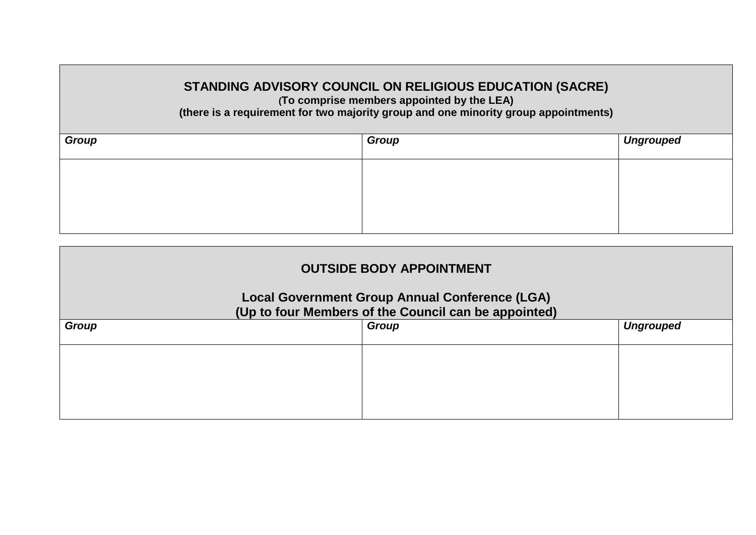## **STANDING ADVISORY COUNCIL ON RELIGIOUS EDUCATION (SACRE)**

**(To comprise members appointed by the LEA)**

**(there is a requirement for two majority group and one minority group appointments)**

| Group | Group | Ungrouped |
|-------|-------|-----------|
|       |       |           |
|       |       |           |
|       |       |           |

| <b>OUTSIDE BODY APPOINTMENT</b>                                                                               |       |                  |  |
|---------------------------------------------------------------------------------------------------------------|-------|------------------|--|
| <b>Local Government Group Annual Conference (LGA)</b><br>(Up to four Members of the Council can be appointed) |       |                  |  |
| Group                                                                                                         | Group | <b>Ungrouped</b> |  |
|                                                                                                               |       |                  |  |
|                                                                                                               |       |                  |  |
|                                                                                                               |       |                  |  |